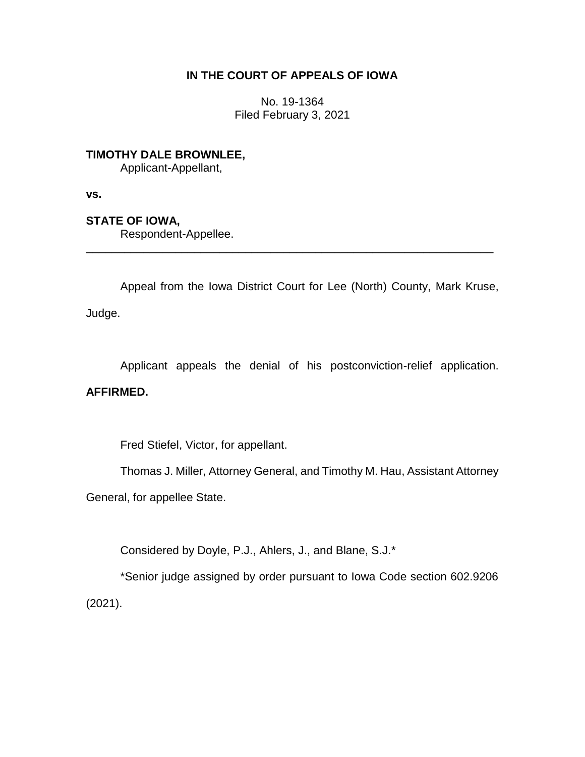# **IN THE COURT OF APPEALS OF IOWA**

No. 19-1364 Filed February 3, 2021

**TIMOTHY DALE BROWNLEE,** Applicant-Appellant,

**vs.**

**STATE OF IOWA,**

Respondent-Appellee.

Appeal from the Iowa District Court for Lee (North) County, Mark Kruse, Judge.

\_\_\_\_\_\_\_\_\_\_\_\_\_\_\_\_\_\_\_\_\_\_\_\_\_\_\_\_\_\_\_\_\_\_\_\_\_\_\_\_\_\_\_\_\_\_\_\_\_\_\_\_\_\_\_\_\_\_\_\_\_\_\_\_

Applicant appeals the denial of his postconviction-relief application.

# **AFFIRMED.**

Fred Stiefel, Victor, for appellant.

Thomas J. Miller, Attorney General, and Timothy M. Hau, Assistant Attorney

General, for appellee State.

Considered by Doyle, P.J., Ahlers, J., and Blane, S.J.\*

\*Senior judge assigned by order pursuant to Iowa Code section 602.9206 (2021).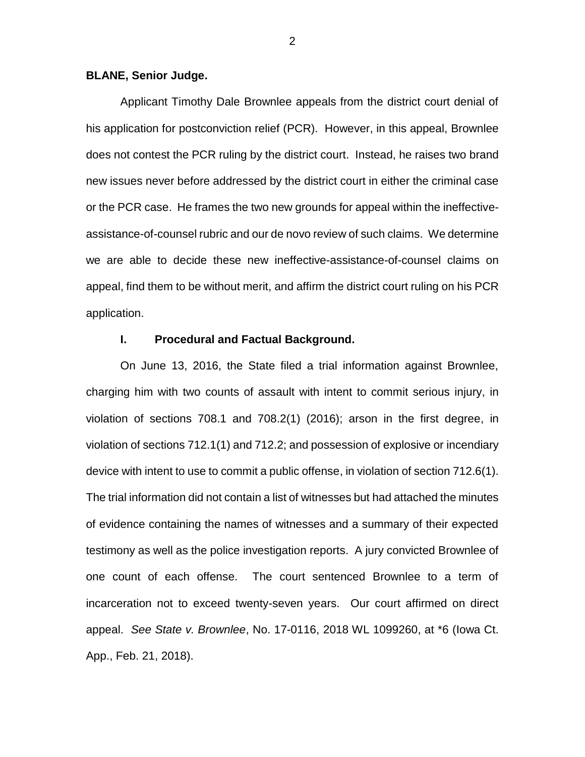#### **BLANE, Senior Judge.**

Applicant Timothy Dale Brownlee appeals from the district court denial of his application for postconviction relief (PCR). However, in this appeal, Brownlee does not contest the PCR ruling by the district court. Instead, he raises two brand new issues never before addressed by the district court in either the criminal case or the PCR case. He frames the two new grounds for appeal within the ineffectiveassistance-of-counsel rubric and our de novo review of such claims. We determine we are able to decide these new ineffective-assistance-of-counsel claims on appeal, find them to be without merit, and affirm the district court ruling on his PCR application.

### **I. Procedural and Factual Background.**

On June 13, 2016, the State filed a trial information against Brownlee, charging him with two counts of assault with intent to commit serious injury, in violation of sections 708.1 and 708.2(1) (2016); arson in the first degree, in violation of sections 712.1(1) and 712.2; and possession of explosive or incendiary device with intent to use to commit a public offense, in violation of section 712.6(1). The trial information did not contain a list of witnesses but had attached the minutes of evidence containing the names of witnesses and a summary of their expected testimony as well as the police investigation reports. A jury convicted Brownlee of one count of each offense. The court sentenced Brownlee to a term of incarceration not to exceed twenty-seven years. Our court affirmed on direct appeal. *See State v. Brownlee*, No. 17-0116, 2018 WL 1099260, at \*6 (Iowa Ct. App., Feb. 21, 2018).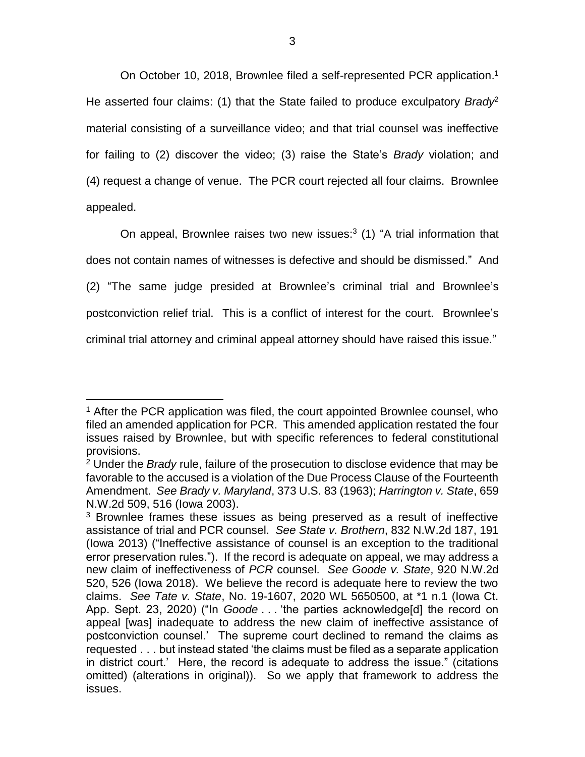On October 10, 2018, Brownlee filed a self-represented PCR application.<sup>1</sup> He asserted four claims: (1) that the State failed to produce exculpatory *Brady*<sup>2</sup> material consisting of a surveillance video; and that trial counsel was ineffective for failing to (2) discover the video; (3) raise the State's *Brady* violation; and (4) request a change of venue. The PCR court rejected all four claims. Brownlee appealed.

On appeal, Brownlee raises two new issues:<sup>3</sup> (1) "A trial information that does not contain names of witnesses is defective and should be dismissed." And (2) "The same judge presided at Brownlee's criminal trial and Brownlee's postconviction relief trial. This is a conflict of interest for the court. Brownlee's criminal trial attorney and criminal appeal attorney should have raised this issue."

 $\overline{a}$ 

<sup>&</sup>lt;sup>1</sup> After the PCR application was filed, the court appointed Brownlee counsel, who filed an amended application for PCR. This amended application restated the four issues raised by Brownlee, but with specific references to federal constitutional provisions.

<sup>2</sup> Under the *Brady* rule, failure of the prosecution to disclose evidence that may be favorable to the accused is a violation of the Due Process Clause of the Fourteenth Amendment. *See Brady v. Maryland*, 373 U.S. 83 (1963); *Harrington v. State*, 659 N.W.2d 509, 516 (Iowa 2003).

<sup>&</sup>lt;sup>3</sup> Brownlee frames these issues as being preserved as a result of ineffective assistance of trial and PCR counsel. *See State v. Brothern*, 832 N.W.2d 187, 191 (Iowa 2013) ("Ineffective assistance of counsel is an exception to the traditional error preservation rules."). If the record is adequate on appeal, we may address a new claim of ineffectiveness of *PCR* counsel. *See Goode v. State*, 920 N.W.2d 520, 526 (Iowa 2018). We believe the record is adequate here to review the two claims. *See Tate v. State*, No. 19-1607, 2020 WL 5650500, at \*1 n.1 (Iowa Ct. App. Sept. 23, 2020) ("In *Goode* . . . 'the parties acknowledge[d] the record on appeal [was] inadequate to address the new claim of ineffective assistance of postconviction counsel.' The supreme court declined to remand the claims as requested . . . but instead stated 'the claims must be filed as a separate application in district court.' Here, the record is adequate to address the issue." (citations omitted) (alterations in original)). So we apply that framework to address the issues.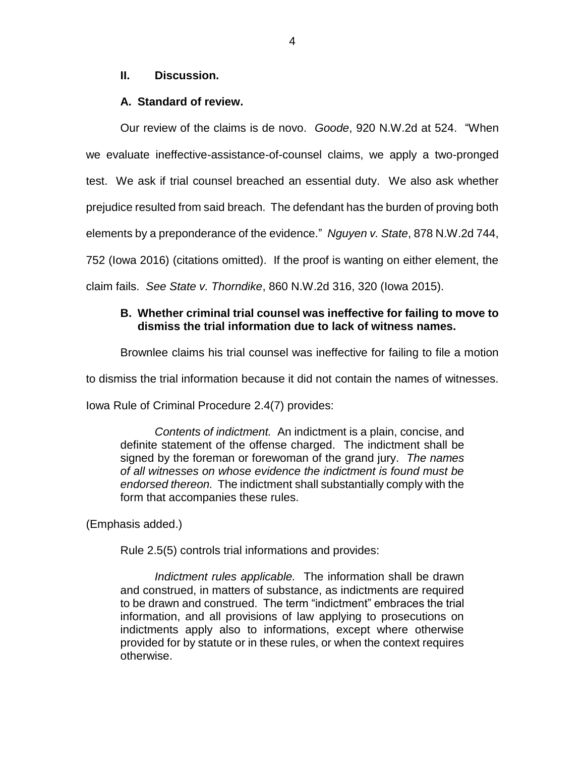### **II. Discussion.**

## **A. Standard of review.**

Our review of the claims is de novo. *Goode*, 920 N.W.2d at 524. "When we evaluate ineffective-assistance-of-counsel claims, we apply a two-pronged test. We ask if trial counsel breached an essential duty. We also ask whether prejudice resulted from said breach. The defendant has the burden of proving both elements by a preponderance of the evidence." *Nguyen v. State*, 878 N.W.2d 744, 752 (Iowa 2016) (citations omitted). If the proof is wanting on either element, the claim fails. *See State v. Thorndike*, 860 N.W.2d 316, 320 (Iowa 2015).

## **B. Whether criminal trial counsel was ineffective for failing to move to dismiss the trial information due to lack of witness names.**

Brownlee claims his trial counsel was ineffective for failing to file a motion

to dismiss the trial information because it did not contain the names of witnesses.

Iowa Rule of Criminal Procedure 2.4(7) provides:

*Contents of indictment.* An indictment is a plain, concise, and definite statement of the offense charged. The indictment shall be signed by the foreman or forewoman of the grand jury. *The names of all witnesses on whose evidence the indictment is found must be endorsed thereon.* The indictment shall substantially comply with the form that accompanies these rules.

(Emphasis added.)

Rule 2.5(5) controls trial informations and provides:

*Indictment rules applicable.* The information shall be drawn and construed, in matters of substance, as indictments are required to be drawn and construed. The term "indictment" embraces the trial information, and all provisions of law applying to prosecutions on indictments apply also to informations, except where otherwise provided for by statute or in these rules, or when the context requires otherwise.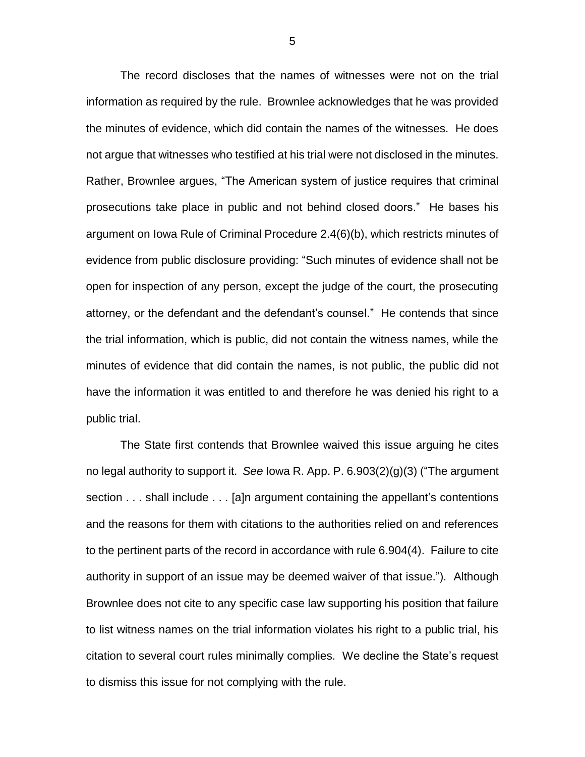The record discloses that the names of witnesses were not on the trial information as required by the rule. Brownlee acknowledges that he was provided the minutes of evidence, which did contain the names of the witnesses. He does not argue that witnesses who testified at his trial were not disclosed in the minutes. Rather, Brownlee argues, "The American system of justice requires that criminal prosecutions take place in public and not behind closed doors." He bases his argument on Iowa Rule of Criminal Procedure 2.4(6)(b), which restricts minutes of evidence from public disclosure providing: "Such minutes of evidence shall not be open for inspection of any person, except the judge of the court, the prosecuting attorney, or the defendant and the defendant's counsel." He contends that since the trial information, which is public, did not contain the witness names, while the minutes of evidence that did contain the names, is not public, the public did not have the information it was entitled to and therefore he was denied his right to a public trial.

The State first contends that Brownlee waived this issue arguing he cites no legal authority to support it. *See* Iowa R. App. P. 6.903(2)(g)(3) ("The argument section . . . shall include . . . [a]n argument containing the appellant's contentions and the reasons for them with citations to the authorities relied on and references to the pertinent parts of the record in accordance with rule 6.904(4). Failure to cite authority in support of an issue may be deemed waiver of that issue."). Although Brownlee does not cite to any specific case law supporting his position that failure to list witness names on the trial information violates his right to a public trial, his citation to several court rules minimally complies. We decline the State's request to dismiss this issue for not complying with the rule.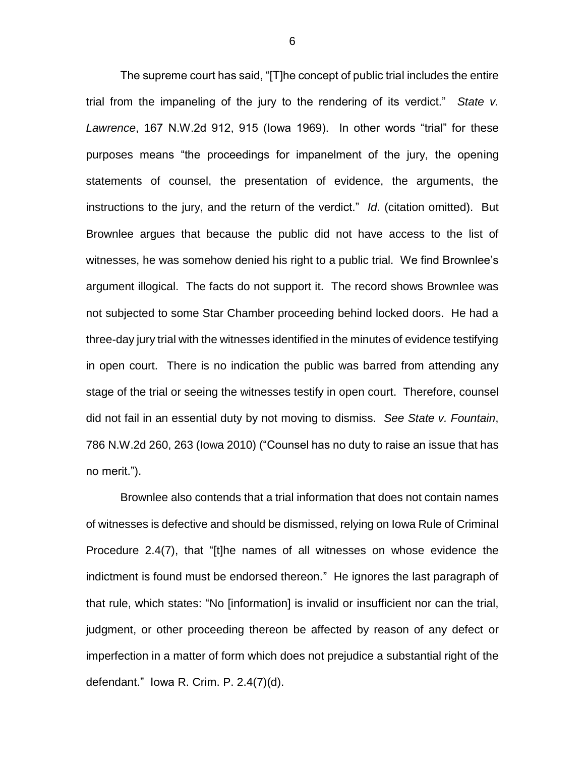The supreme court has said, "[T]he concept of public trial includes the entire trial from the impaneling of the jury to the rendering of its verdict." *State v. Lawrence*, 167 N.W.2d 912, 915 (Iowa 1969). In other words "trial" for these purposes means "the proceedings for impanelment of the jury, the opening statements of counsel, the presentation of evidence, the arguments, the instructions to the jury, and the return of the verdict." *Id*. (citation omitted). But Brownlee argues that because the public did not have access to the list of witnesses, he was somehow denied his right to a public trial. We find Brownlee's argument illogical. The facts do not support it. The record shows Brownlee was not subjected to some Star Chamber proceeding behind locked doors. He had a three-day jury trial with the witnesses identified in the minutes of evidence testifying in open court. There is no indication the public was barred from attending any stage of the trial or seeing the witnesses testify in open court. Therefore, counsel did not fail in an essential duty by not moving to dismiss. *See State v. Fountain*, 786 N.W.2d 260, 263 (Iowa 2010) ("Counsel has no duty to raise an issue that has no merit.").

Brownlee also contends that a trial information that does not contain names of witnesses is defective and should be dismissed, relying on Iowa Rule of Criminal Procedure 2.4(7), that "[t]he names of all witnesses on whose evidence the indictment is found must be endorsed thereon." He ignores the last paragraph of that rule, which states: "No [information] is invalid or insufficient nor can the trial, judgment, or other proceeding thereon be affected by reason of any defect or imperfection in a matter of form which does not prejudice a substantial right of the defendant." Iowa R. Crim. P. 2.4(7)(d).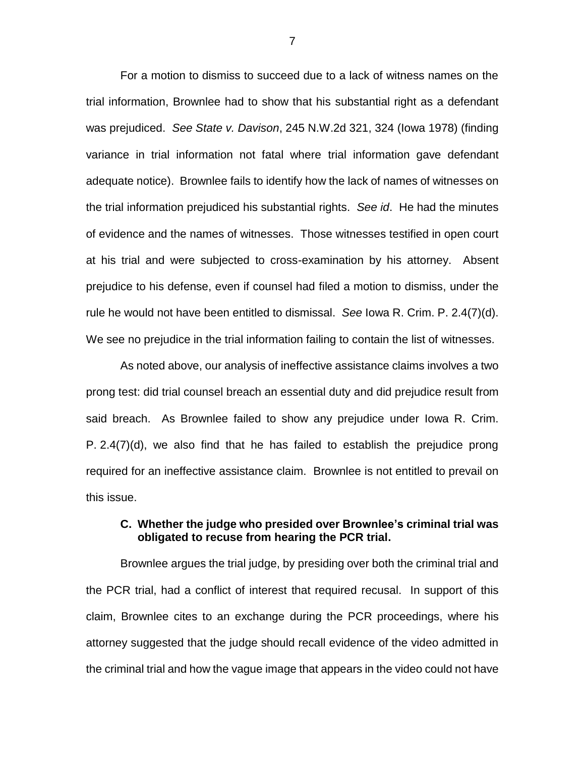For a motion to dismiss to succeed due to a lack of witness names on the trial information, Brownlee had to show that his substantial right as a defendant was prejudiced. *See State v. Davison*, 245 N.W.2d 321, 324 (Iowa 1978) (finding variance in trial information not fatal where trial information gave defendant adequate notice). Brownlee fails to identify how the lack of names of witnesses on the trial information prejudiced his substantial rights. *See id*. He had the minutes of evidence and the names of witnesses. Those witnesses testified in open court at his trial and were subjected to cross-examination by his attorney. Absent prejudice to his defense, even if counsel had filed a motion to dismiss, under the rule he would not have been entitled to dismissal. *See* Iowa R. Crim. P. 2.4(7)(d). We see no prejudice in the trial information failing to contain the list of witnesses.

As noted above, our analysis of ineffective assistance claims involves a two prong test: did trial counsel breach an essential duty and did prejudice result from said breach. As Brownlee failed to show any prejudice under Iowa R. Crim. P. 2.4(7)(d), we also find that he has failed to establish the prejudice prong required for an ineffective assistance claim. Brownlee is not entitled to prevail on this issue.

### **C. Whether the judge who presided over Brownlee's criminal trial was obligated to recuse from hearing the PCR trial.**

Brownlee argues the trial judge, by presiding over both the criminal trial and the PCR trial, had a conflict of interest that required recusal. In support of this claim, Brownlee cites to an exchange during the PCR proceedings, where his attorney suggested that the judge should recall evidence of the video admitted in the criminal trial and how the vague image that appears in the video could not have

7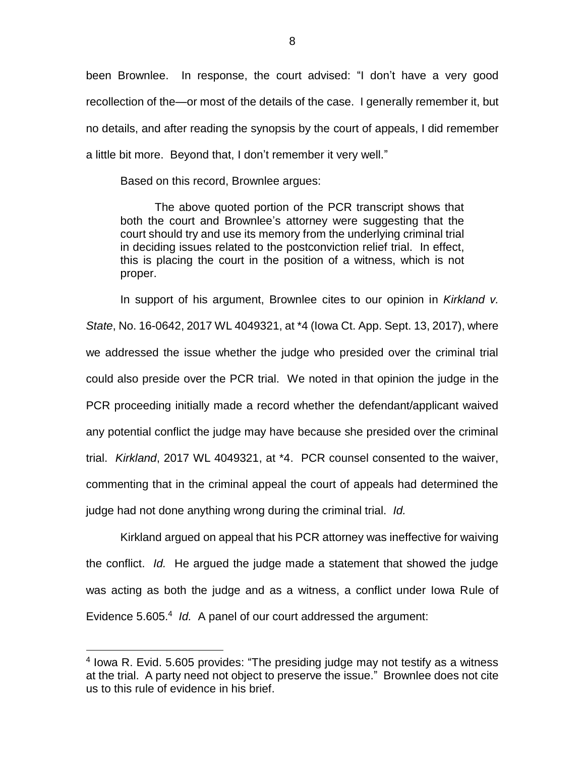been Brownlee. In response, the court advised: "I don't have a very good recollection of the—or most of the details of the case. I generally remember it, but no details, and after reading the synopsis by the court of appeals, I did remember a little bit more. Beyond that, I don't remember it very well."

Based on this record, Brownlee argues:

The above quoted portion of the PCR transcript shows that both the court and Brownlee's attorney were suggesting that the court should try and use its memory from the underlying criminal trial in deciding issues related to the postconviction relief trial. In effect, this is placing the court in the position of a witness, which is not proper.

In support of his argument, Brownlee cites to our opinion in *Kirkland v. State*, No. 16-0642, 2017 WL 4049321, at \*4 (Iowa Ct. App. Sept. 13, 2017), where we addressed the issue whether the judge who presided over the criminal trial could also preside over the PCR trial. We noted in that opinion the judge in the PCR proceeding initially made a record whether the defendant/applicant waived any potential conflict the judge may have because she presided over the criminal trial. *Kirkland*, 2017 WL 4049321, at \*4. PCR counsel consented to the waiver, commenting that in the criminal appeal the court of appeals had determined the judge had not done anything wrong during the criminal trial. *Id.*

Kirkland argued on appeal that his PCR attorney was ineffective for waiving the conflict. *Id.* He argued the judge made a statement that showed the judge was acting as both the judge and as a witness, a conflict under Iowa Rule of Evidence 5.605.<sup>4</sup> Id. A panel of our court addressed the argument:

 $\overline{a}$ 

<sup>&</sup>lt;sup>4</sup> lowa R. Evid. 5.605 provides: "The presiding judge may not testify as a witness at the trial. A party need not object to preserve the issue." Brownlee does not cite us to this rule of evidence in his brief.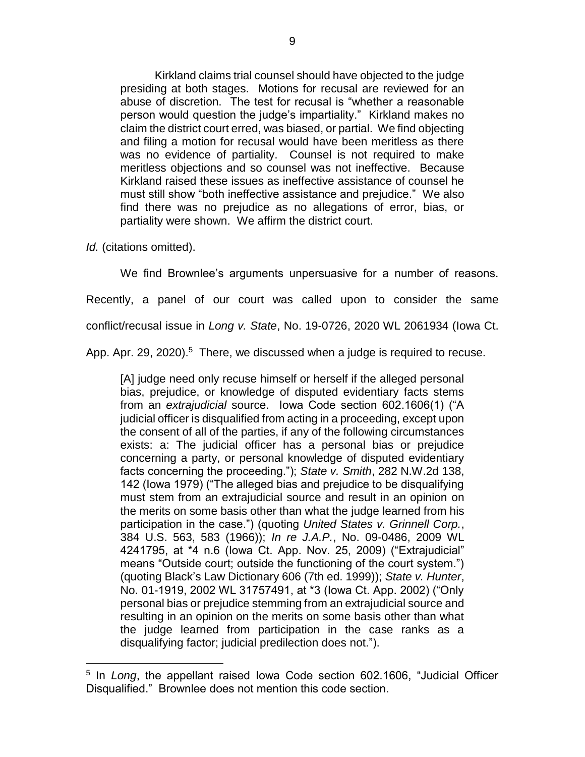Kirkland claims trial counsel should have objected to the judge presiding at both stages. Motions for recusal are reviewed for an abuse of discretion. The test for recusal is "whether a reasonable person would question the judge's impartiality." Kirkland makes no claim the district court erred, was biased, or partial. We find objecting and filing a motion for recusal would have been meritless as there was no evidence of partiality. Counsel is not required to make meritless objections and so counsel was not ineffective. Because Kirkland raised these issues as ineffective assistance of counsel he must still show "both ineffective assistance and prejudice." We also find there was no prejudice as no allegations of error, bias, or partiality were shown. We affirm the district court.

*Id.* (citations omitted).

 $\overline{a}$ 

We find Brownlee's arguments unpersuasive for a number of reasons. Recently, a panel of our court was called upon to consider the same conflict/recusal issue in *Long v. State*, No. 19-0726, 2020 WL 2061934 (Iowa Ct. App. Apr. 29, 2020).<sup>5</sup> There, we discussed when a judge is required to recuse.

[A] judge need only recuse himself or herself if the alleged personal bias, prejudice, or knowledge of disputed evidentiary facts stems from an *extrajudicial* source. Iowa Code section 602.1606(1) ("A judicial officer is disqualified from acting in a proceeding, except upon the consent of all of the parties, if any of the following circumstances exists: a: The judicial officer has a personal bias or prejudice concerning a party, or personal knowledge of disputed evidentiary facts concerning the proceeding."); *State v. Smith*, 282 N.W.2d 138, 142 (Iowa 1979) ("The alleged bias and prejudice to be disqualifying must stem from an extrajudicial source and result in an opinion on the merits on some basis other than what the judge learned from his participation in the case.") (quoting *United States v. Grinnell Corp.*, 384 U.S. 563, 583 (1966)); *In re J.A.P.*, No. 09-0486, 2009 WL 4241795, at \*4 n.6 (Iowa Ct. App. Nov. 25, 2009) ("Extrajudicial" means "Outside court; outside the functioning of the court system.") (quoting Black's Law Dictionary 606 (7th ed. 1999)); *State v. Hunter*, No. 01-1919, 2002 WL 31757491, at \*3 (Iowa Ct. App. 2002) ("Only personal bias or prejudice stemming from an extrajudicial source and resulting in an opinion on the merits on some basis other than what the judge learned from participation in the case ranks as a disqualifying factor; judicial predilection does not.").

<sup>&</sup>lt;sup>5</sup> In *Long*, the appellant raised Iowa Code section 602.1606, "Judicial Officer Disqualified." Brownlee does not mention this code section.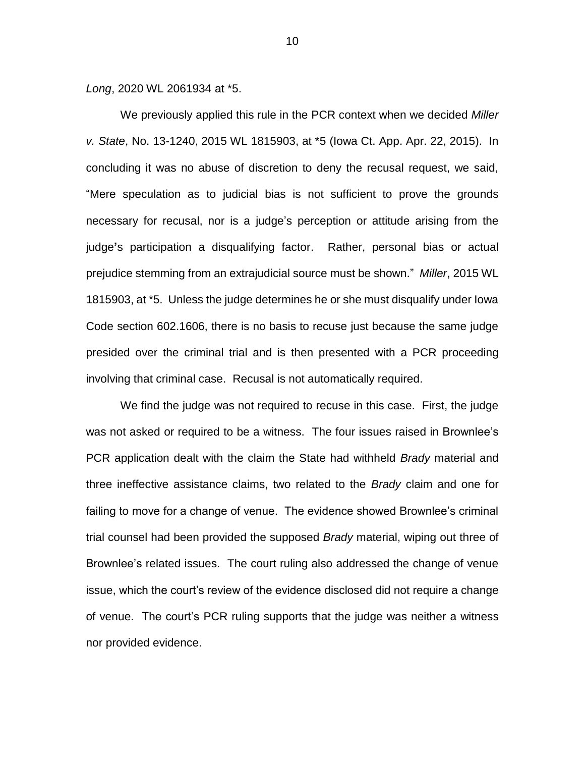*Long*, 2020 WL 2061934 at \*5.

We previously applied this rule in the PCR context when we decided *Miller v. State*, No. 13-1240, 2015 WL 1815903, at \*5 (Iowa Ct. App. Apr. 22, 2015). In concluding it was no abuse of discretion to deny the recusal request, we said, "Mere speculation as to judicial bias is not sufficient to prove the grounds necessary for recusal, nor is a judge's perception or attitude arising from the judge**'**s participation a disqualifying factor. Rather, personal bias or actual prejudice stemming from an extrajudicial source must be shown." *Miller*, 2015 WL 1815903, at \*5. Unless the judge determines he or she must disqualify under Iowa Code section 602.1606, there is no basis to recuse just because the same judge presided over the criminal trial and is then presented with a PCR proceeding involving that criminal case. Recusal is not automatically required.

We find the judge was not required to recuse in this case. First, the judge was not asked or required to be a witness. The four issues raised in Brownlee's PCR application dealt with the claim the State had withheld *Brady* material and three ineffective assistance claims, two related to the *Brady* claim and one for failing to move for a change of venue. The evidence showed Brownlee's criminal trial counsel had been provided the supposed *Brady* material, wiping out three of Brownlee's related issues. The court ruling also addressed the change of venue issue, which the court's review of the evidence disclosed did not require a change of venue. The court's PCR ruling supports that the judge was neither a witness nor provided evidence.